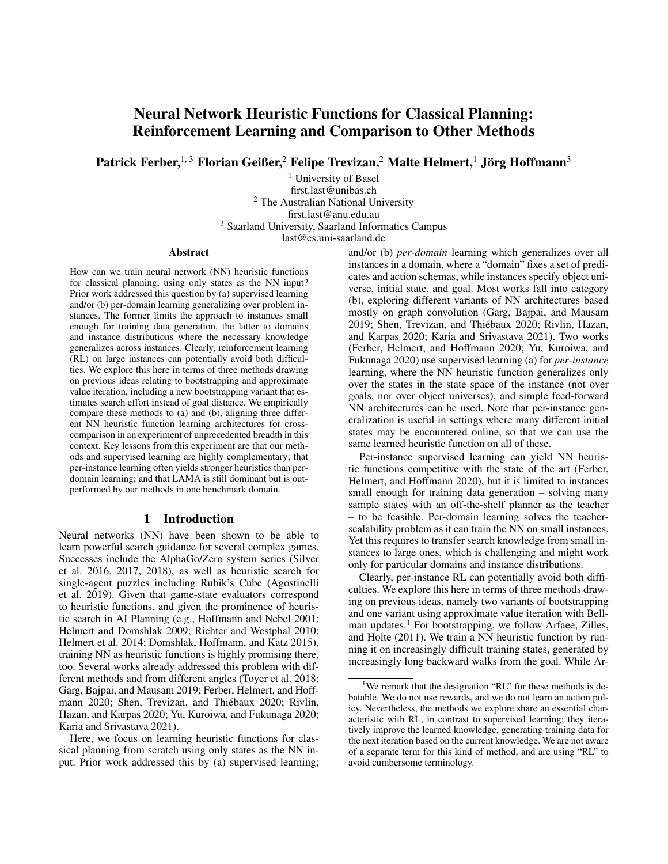# Neural Network Heuristic Functions for Classical Planning: Reinforcement Learning and Comparison to Other Methods

Patrick Ferber, $^{\rm 1,\,3}$  Florian Geißer, $^2$  Felipe Trevizan, $^2$  Malte Helmert, $^1$  Jörg Hoffmann $^3$ 

<sup>1</sup> University of Basel first.last@unibas.ch <sup>2</sup> The Australian National University first.last@anu.edu.au <sup>3</sup> Saarland University, Saarland Informatics Campus last@cs.uni-saarland.de

#### Abstract

How can we train neural network (NN) heuristic functions for classical planning, using only states as the NN input? Prior work addressed this question by (a) supervised learning and/or (b) per-domain learning generalizing over problem instances. The former limits the approach to instances small enough for training data generation, the latter to domains and instance distributions where the necessary knowledge generalizes across instances. Clearly, reinforcement learning (RL) on large instances can potentially avoid both difficulties. We explore this here in terms of three methods drawing on previous ideas relating to bootstrapping and approximate value iteration, including a new bootstrapping variant that estimates search effort instead of goal distance. We empirically compare these methods to (a) and (b), aligning three different NN heuristic function learning architectures for crosscomparison in an experiment of unprecedented breadth in this context. Key lessons from this experiment are that our methods and supervised learning are highly complementary; that per-instance learning often yields stronger heuristics than perdomain learning; and that LAMA is still dominant but is outperformed by our methods in one benchmark domain.

#### 1 Introduction

Neural networks (NN) have been shown to be able to learn powerful search guidance for several complex games. Successes include the AlphaGo/Zero system series (Silver et al. 2016, 2017, 2018), as well as heuristic search for single-agent puzzles including Rubik's Cube (Agostinelli et al. 2019). Given that game-state evaluators correspond to heuristic functions, and given the prominence of heuristic search in AI Planning (e.g., Hoffmann and Nebel 2001; Helmert and Domshlak 2009; Richter and Westphal 2010; Helmert et al. 2014; Domshlak, Hoffmann, and Katz 2015), training NN as heuristic functions is highly promising there, too. Several works already addressed this problem with different methods and from different angles (Toyer et al. 2018; Garg, Bajpai, and Mausam 2019; Ferber, Helmert, and Hoffmann 2020; Shen, Trevizan, and Thiébaux 2020; Rivlin, Hazan, and Karpas 2020; Yu, Kuroiwa, and Fukunaga 2020; Karia and Srivastava 2021).

Here, we focus on learning heuristic functions for classical planning from scratch using only states as the NN input. Prior work addressed this by (a) supervised learning; and/or (b) *per-domain* learning which generalizes over all instances in a domain, where a "domain" fixes a set of predicates and action schemas, while instances specify object universe, initial state, and goal. Most works fall into category (b), exploring different variants of NN architectures based mostly on graph convolution (Garg, Bajpai, and Mausam 2019; Shen, Trevizan, and Thiebaux 2020; Rivlin, Hazan, ´ and Karpas 2020; Karia and Srivastava 2021). Two works (Ferber, Helmert, and Hoffmann 2020; Yu, Kuroiwa, and Fukunaga 2020) use supervised learning (a) for *per-instance* learning, where the NN heuristic function generalizes only over the states in the state space of the instance (not over goals, nor over object universes), and simple feed-forward NN architectures can be used. Note that per-instance generalization is useful in settings where many different initial states may be encountered online, so that we can use the same learned heuristic function on all of these.

Per-instance supervised learning can yield NN heuristic functions competitive with the state of the art (Ferber, Helmert, and Hoffmann 2020), but it is limited to instances small enough for training data generation – solving many sample states with an off-the-shelf planner as the teacher – to be feasible. Per-domain learning solves the teacherscalability problem as it can train the NN on small instances. Yet this requires to transfer search knowledge from small instances to large ones, which is challenging and might work only for particular domains and instance distributions.

Clearly, per-instance RL can potentially avoid both difficulties. We explore this here in terms of three methods drawing on previous ideas, namely two variants of bootstrapping and one variant using approximate value iteration with Bellman updates.<sup>1</sup> For bootstrapping, we follow Arfaee, Zilles, and Holte (2011). We train a NN heuristic function by running it on increasingly difficult training states, generated by increasingly long backward walks from the goal. While Ar-

<sup>&</sup>lt;sup>1</sup>We remark that the designation "RL" for these methods is debatable. We do not use rewards, and we do not learn an action policy. Nevertheless, the methods we explore share an essential characteristic with RL, in contrast to supervised learning: they iteratively improve the learned knowledge, generating training data for the next iteration based on the current knowledge. We are not aware of a separate term for this kind of method, and are using "RL" to avoid cumbersome terminology.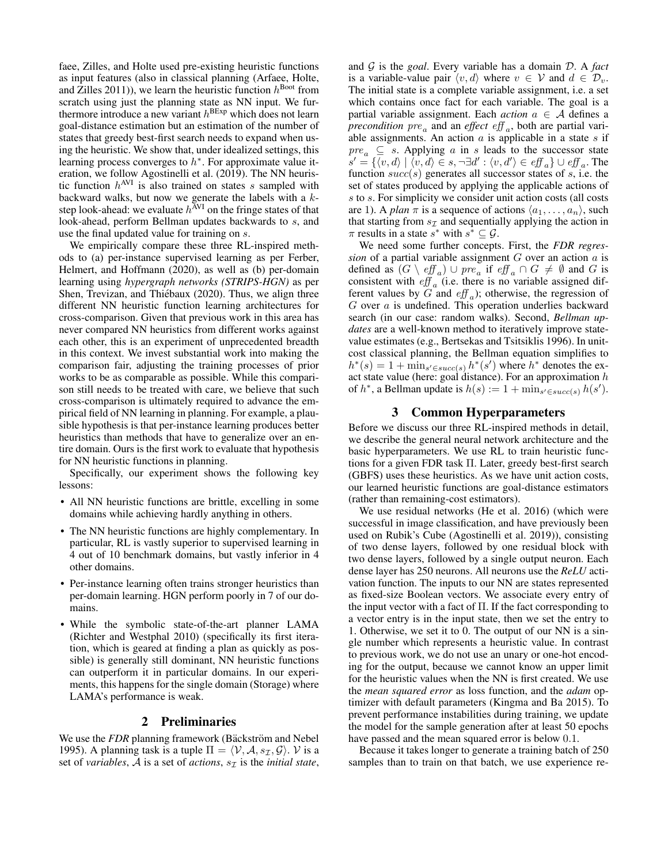faee, Zilles, and Holte used pre-existing heuristic functions as input features (also in classical planning (Arfaee, Holte, and Zilles 2011)), we learn the heuristic function  $h^{\text{boot}}$  from scratch using just the planning state as NN input. We furthermore introduce a new variant  $h^{BExp}$  which does not learn goal-distance estimation but an estimation of the number of states that greedy best-first search needs to expand when using the heuristic. We show that, under idealized settings, this learning process converges to  $h^*$ . For approximate value iteration, we follow Agostinelli et al. (2019). The NN heuristic function  $h^{\text{AVI}}$  is also trained on states s sampled with backward walks, but now we generate the labels with a  $k$ step look-ahead: we evaluate  $h^{\text{AVI}}$  on the fringe states of that look-ahead, perform Bellman updates backwards to s, and use the final updated value for training on s.

We empirically compare these three RL-inspired methods to (a) per-instance supervised learning as per Ferber, Helmert, and Hoffmann (2020), as well as (b) per-domain learning using *hypergraph networks (STRIPS-HGN)* as per Shen, Trevizan, and Thiébaux (2020). Thus, we align three different NN heuristic function learning architectures for cross-comparison. Given that previous work in this area has never compared NN heuristics from different works against each other, this is an experiment of unprecedented breadth in this context. We invest substantial work into making the comparison fair, adjusting the training processes of prior works to be as comparable as possible. While this comparison still needs to be treated with care, we believe that such cross-comparison is ultimately required to advance the empirical field of NN learning in planning. For example, a plausible hypothesis is that per-instance learning produces better heuristics than methods that have to generalize over an entire domain. Ours is the first work to evaluate that hypothesis for NN heuristic functions in planning.

Specifically, our experiment shows the following key lessons:

- All NN heuristic functions are brittle, excelling in some domains while achieving hardly anything in others.
- The NN heuristic functions are highly complementary. In particular, RL is vastly superior to supervised learning in 4 out of 10 benchmark domains, but vastly inferior in 4 other domains.
- Per-instance learning often trains stronger heuristics than per-domain learning. HGN perform poorly in 7 of our domains.
- While the symbolic state-of-the-art planner LAMA (Richter and Westphal 2010) (specifically its first iteration, which is geared at finding a plan as quickly as possible) is generally still dominant, NN heuristic functions can outperform it in particular domains. In our experiments, this happens for the single domain (Storage) where LAMA's performance is weak.

### 2 Preliminaries

We use the *FDR* planning framework (Bäckström and Nebel 1995). A planning task is a tuple  $\Pi = \langle V, A, s_{\mathcal{I}}, \mathcal{G} \rangle$ . V is a set of *variables*, A is a set of *actions*,  $s<sub>T</sub>$  is the *initial state*, and G is the *goal*. Every variable has a domain D. A *fact* is a variable-value pair  $\langle v, d \rangle$  where  $v \in V$  and  $d \in \mathcal{D}_v$ . The initial state is a complete variable assignment, i.e. a set which contains once fact for each variable. The goal is a partial variable assignment. Each  $action \ a \in \mathcal{A}$  defines a  $precondition pre_a$  and an *effect*  $eff_a$ , both are partial variable assignments. An action  $a$  is applicable in a state  $s$  if  $pre_a \subseteq s$ . Applying a in s leads to the successor state  $s' = \{ \langle v, d \rangle \mid \langle v, d \rangle \in s, \neg \exists d' : \langle v, d' \rangle \in \mathit{eff}_a \} \cup \mathit{eff}_a$ . The function  $succ(s)$  generates all successor states of s, i.e. the set of states produced by applying the applicable actions of s to s. For simplicity we consider unit action costs (all costs are 1). A *plan*  $\pi$  is a sequence of actions  $\langle a_1, \ldots, a_n \rangle$ , such that starting from  $s<sub>\mathcal{I}</sub>$  and sequentially applying the action in  $\pi$  results in a state  $s^*$  with  $s^* \subseteq \mathcal{G}$ .

We need some further concepts. First, the *FDR regression* of a partial variable assignment  $G$  over an action  $a$  is defined as  $(G \setminus eff_a) \cup pre_a$  if  $eff_a \cap G \neq \emptyset$  and G is consistent with  $\operatorname{eff}_a$  (i.e. there is no variable assigned different values by G and  $\mathit{eff}_a$ ); otherwise, the regression of  $G$  over  $a$  is undefined. This operation underlies backward search (in our case: random walks). Second, *Bellman updates* are a well-known method to iteratively improve statevalue estimates (e.g., Bertsekas and Tsitsiklis 1996). In unitcost classical planning, the Bellman equation simplifies to  $h^*(s) = 1 + \min_{s' \in succ(s)} h^*(s')$  where  $h^*$  denotes the exact state value (here: goal distance). For an approximation  $h$ of  $h^*$ , a Bellman update is  $h(s) := 1 + \min_{s' \in succ(s)} h(s')$ .

#### 3 Common Hyperparameters

Before we discuss our three RL-inspired methods in detail, we describe the general neural network architecture and the basic hyperparameters. We use RL to train heuristic functions for a given FDR task Π. Later, greedy best-first search (GBFS) uses these heuristics. As we have unit action costs, our learned heuristic functions are goal-distance estimators (rather than remaining-cost estimators).

We use residual networks (He et al. 2016) (which were successful in image classification, and have previously been used on Rubik's Cube (Agostinelli et al. 2019)), consisting of two dense layers, followed by one residual block with two dense layers, followed by a single output neuron. Each dense layer has 250 neurons. All neurons use the *ReLU* activation function. The inputs to our NN are states represented as fixed-size Boolean vectors. We associate every entry of the input vector with a fact of  $\Pi$ . If the fact corresponding to a vector entry is in the input state, then we set the entry to 1. Otherwise, we set it to 0. The output of our NN is a single number which represents a heuristic value. In contrast to previous work, we do not use an unary or one-hot encoding for the output, because we cannot know an upper limit for the heuristic values when the NN is first created. We use the *mean squared error* as loss function, and the *adam* optimizer with default parameters (Kingma and Ba 2015). To prevent performance instabilities during training, we update the model for the sample generation after at least 50 epochs have passed and the mean squared error is below 0.1.

Because it takes longer to generate a training batch of 250 samples than to train on that batch, we use experience re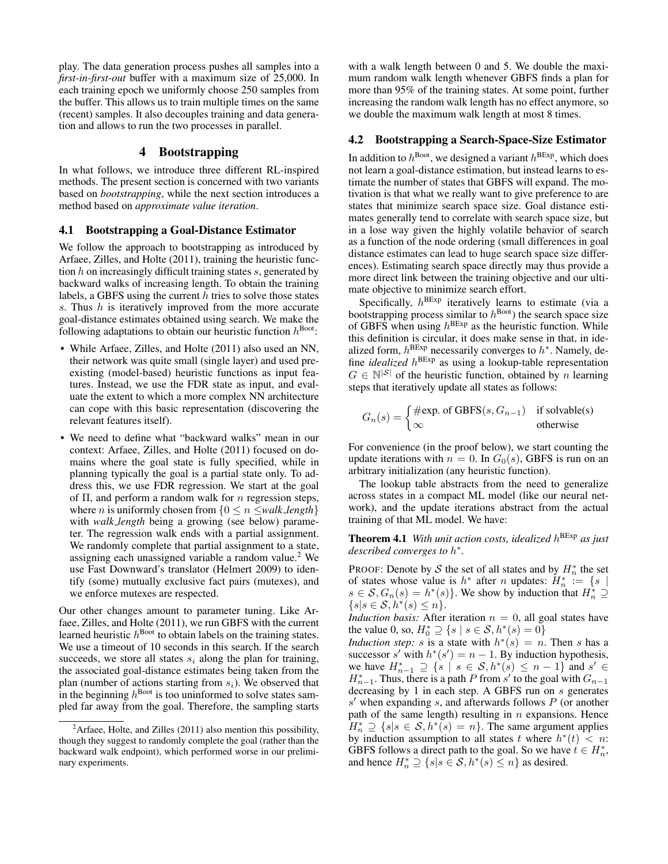play. The data generation process pushes all samples into a *first-in-first-out* buffer with a maximum size of 25,000. In each training epoch we uniformly choose 250 samples from the buffer. This allows us to train multiple times on the same (recent) samples. It also decouples training and data generation and allows to run the two processes in parallel.

### 4 Bootstrapping

In what follows, we introduce three different RL-inspired methods. The present section is concerned with two variants based on *bootstrapping*, while the next section introduces a method based on *approximate value iteration*.

#### 4.1 Bootstrapping a Goal-Distance Estimator

We follow the approach to bootstrapping as introduced by Arfaee, Zilles, and Holte (2011), training the heuristic function  $h$  on increasingly difficult training states  $s$ , generated by backward walks of increasing length. To obtain the training labels, a GBFS using the current  $h$  tries to solve those states s. Thus h is iteratively improved from the more accurate goal-distance estimates obtained using search. We make the following adaptations to obtain our heuristic function  $h^{\text{Boot}}$ :

- While Arfaee, Zilles, and Holte (2011) also used an NN, their network was quite small (single layer) and used preexisting (model-based) heuristic functions as input features. Instead, we use the FDR state as input, and evaluate the extent to which a more complex NN architecture can cope with this basic representation (discovering the relevant features itself).
- We need to define what "backward walks" mean in our context: Arfaee, Zilles, and Holte (2011) focused on domains where the goal state is fully specified, while in planning typically the goal is a partial state only. To address this, we use FDR regression. We start at the goal of  $\Pi$ , and perform a random walk for *n* regression steps, where *n* is uniformly chosen from  $\{0 \le n \le \text{walk\_length}\}\$ with *walk length* being a growing (see below) parameter. The regression walk ends with a partial assignment. We randomly complete that partial assignment to a state, assigning each unassigned variable a random value.<sup>2</sup> We use Fast Downward's translator (Helmert 2009) to identify (some) mutually exclusive fact pairs (mutexes), and we enforce mutexes are respected.

Our other changes amount to parameter tuning. Like Arfaee, Zilles, and Holte (2011), we run GBFS with the current learned heuristic  $h^{\text{Boot}}$  to obtain labels on the training states. We use a timeout of 10 seconds in this search. If the search succeeds, we store all states  $s_i$  along the plan for training, the associated goal-distance estimates being taken from the plan (number of actions starting from  $s_i$ ). We observed that in the beginning  $h^{\text{Boot}}$  is too uninformed to solve states sampled far away from the goal. Therefore, the sampling starts

with a walk length between 0 and 5. We double the maximum random walk length whenever GBFS finds a plan for more than 95% of the training states. At some point, further increasing the random walk length has no effect anymore, so we double the maximum walk length at most 8 times.

### 4.2 Bootstrapping a Search-Space-Size Estimator

In addition to  $h^{\text{Boot}}$ , we designed a variant  $h^{\text{BExp}}$ , which does not learn a goal-distance estimation, but instead learns to estimate the number of states that GBFS will expand. The motivation is that what we really want to give preference to are states that minimize search space size. Goal distance estimates generally tend to correlate with search space size, but in a lose way given the highly volatile behavior of search as a function of the node ordering (small differences in goal distance estimates can lead to huge search space size differences). Estimating search space directly may thus provide a more direct link between the training objective and our ultimate objective to minimize search effort.

Specifically,  $h^{BExp}$  iteratively learns to estimate (via a bootstrapping process similar to  $h^{\text{Boot}}$ ) the search space size of GBFS when using  $h^{BExp}$  as the heuristic function. While this definition is circular, it does make sense in that, in idealized form,  $h^{BExp}$  necessarily converges to  $h^*$ . Namely, define *idealized* h BExp as using a lookup-table representation  $G \in \mathbb{N}^{|\mathcal{S}|}$  of the heuristic function, obtained by n learning steps that iteratively update all states as follows:

$$
G_n(s) = \begin{cases} \text{#exp. of GBFS}(s, G_{n-1}) & \text{if solvable(s)}\\ \infty & \text{otherwise} \end{cases}
$$

For convenience (in the proof below), we start counting the update iterations with  $n = 0$ . In  $G_0(s)$ , GBFS is run on an arbitrary initialization (any heuristic function).

The lookup table abstracts from the need to generalize across states in a compact ML model (like our neural network), and the update iterations abstract from the actual training of that ML model. We have:

Theorem 4.1 *With unit action costs, idealized* h BExp *as just described converges to* h ∗ *.*

PROOF: Denote by S the set of all states and by  $H_n^*$  the set of states whose value is  $h^*$  after *n* updates:  $H_n^* := \{ s \mid$  $s \in \mathcal{S}, G_n(s) = h^*(s)$ . We show by induction that  $H_n^* \supseteq$  $\{s|s\in\mathcal{S},h^*(s)\leq n\}.$ 

*Induction basis:* After iteration  $n = 0$ , all goal states have the value 0, so,  $H_0^* \supseteq \{s \mid s \in S, h^*(s) = 0\}$ 

*Induction step:* s is a state with  $h^*(s) = n$ . Then s has a successor s' with  $h^*(s') = n - 1$ . By induction hypothesis, we have  $H_{n-1}^* \supseteq \{s \mid s \in \mathcal{S}, h^*(s) \leq n-1\}$  and  $s' \in$  $H_{n-1}^*$ . Thus, there is a path P from s' to the goal with  $G_{n-1}$ decreasing by 1 in each step. A GBFS run on s generates  $s'$  when expanding  $s$ , and afterwards follows  $P$  (or another path of the same length) resulting in  $n$  expansions. Hence  $H_n^* \supseteq \{s | s \in S, h^*(s) = n\}.$  The same argument applies by induction assumption to all states t where  $h^*(t) < n$ . GBFS follows a direct path to the goal. So we have  $t \in H_n^*$ , and hence  $H_n^* \supseteq \{s | s \in S, h^*(s) \leq n\}$  as desired.

<sup>&</sup>lt;sup>2</sup>Arfaee, Holte, and Zilles (2011) also mention this possibility, though they suggest to randomly complete the goal (rather than the backward walk endpoint), which performed worse in our preliminary experiments.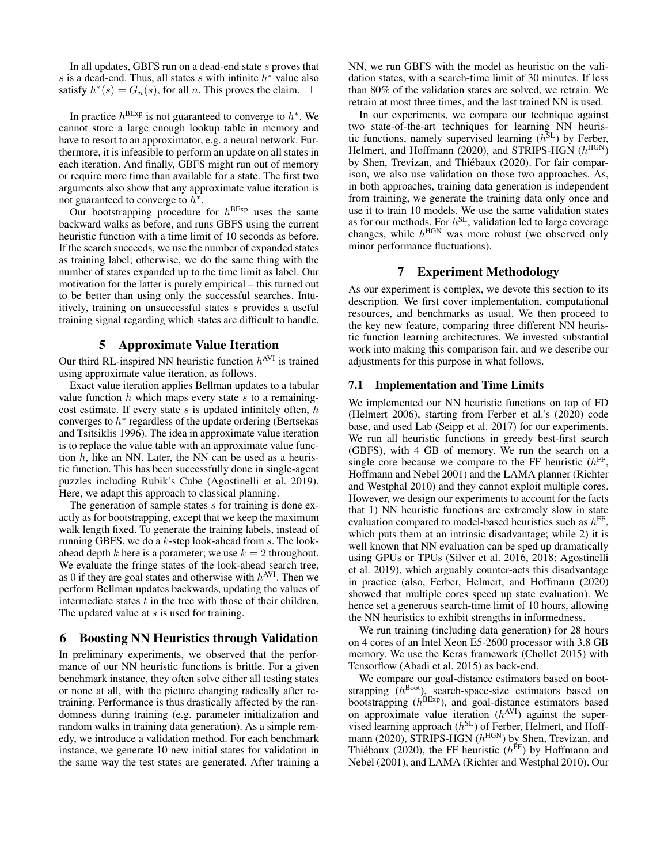In all updates, GBFS run on a dead-end state s proves that s is a dead-end. Thus, all states s with infinite  $h^*$  value also satisfy  $h^*(s) = G_n(s)$ , for all *n*. This proves the claim.  $\square$ 

In practice  $h^{BExp}$  is not guaranteed to converge to  $h^*$ . We cannot store a large enough lookup table in memory and have to resort to an approximator, e.g. a neural network. Furthermore, it is infeasible to perform an update on all states in each iteration. And finally, GBFS might run out of memory or require more time than available for a state. The first two arguments also show that any approximate value iteration is not guaranteed to converge to  $h^*$ .

Our bootstrapping procedure for  $h^{BExp}$  uses the same backward walks as before, and runs GBFS using the current heuristic function with a time limit of 10 seconds as before. If the search succeeds, we use the number of expanded states as training label; otherwise, we do the same thing with the number of states expanded up to the time limit as label. Our motivation for the latter is purely empirical – this turned out to be better than using only the successful searches. Intuitively, training on unsuccessful states s provides a useful training signal regarding which states are difficult to handle.

#### 5 Approximate Value Iteration

Our third RL-inspired NN heuristic function  $h^{\text{AVI}}$  is trained using approximate value iteration, as follows.

Exact value iteration applies Bellman updates to a tabular value function  $h$  which maps every state  $s$  to a remainingcost estimate. If every state  $s$  is updated infinitely often,  $h$ converges to  $h^*$  regardless of the update ordering (Bertsekas and Tsitsiklis 1996). The idea in approximate value iteration is to replace the value table with an approximate value function  $h$ , like an NN. Later, the NN can be used as a heuristic function. This has been successfully done in single-agent puzzles including Rubik's Cube (Agostinelli et al. 2019). Here, we adapt this approach to classical planning.

The generation of sample states s for training is done exactly as for bootstrapping, except that we keep the maximum walk length fixed. To generate the training labels, instead of running GBFS, we do a  $k$ -step look-ahead from  $s$ . The lookahead depth k here is a parameter; we use  $k = 2$  throughout. We evaluate the fringe states of the look-ahead search tree, as 0 if they are goal states and otherwise with  $h^{\text{AVI}}$ . Then we perform Bellman updates backwards, updating the values of intermediate states  $t$  in the tree with those of their children. The updated value at s is used for training.

### 6 Boosting NN Heuristics through Validation

In preliminary experiments, we observed that the performance of our NN heuristic functions is brittle. For a given benchmark instance, they often solve either all testing states or none at all, with the picture changing radically after retraining. Performance is thus drastically affected by the randomness during training (e.g. parameter initialization and random walks in training data generation). As a simple remedy, we introduce a validation method. For each benchmark instance, we generate 10 new initial states for validation in the same way the test states are generated. After training a

NN, we run GBFS with the model as heuristic on the validation states, with a search-time limit of 30 minutes. If less than 80% of the validation states are solved, we retrain. We retrain at most three times, and the last trained NN is used.

In our experiments, we compare our technique against two state-of-the-art techniques for learning NN heuristic functions, namely supervised learning  $(h<sup>SL</sup>)$  by Ferber, Helmert, and Hoffmann (2020), and STRIPS-HGN  $(h<sup>HGN</sup>)$ by Shen, Trevizan, and Thiébaux (2020). For fair comparison, we also use validation on those two approaches. As, in both approaches, training data generation is independent from training, we generate the training data only once and use it to train 10 models. We use the same validation states as for our methods. For  $h^{\text{SL}}$ , validation led to large coverage changes, while  $h^{\text{HGN}}$  was more robust (we observed only minor performance fluctuations).

### 7 Experiment Methodology

As our experiment is complex, we devote this section to its description. We first cover implementation, computational resources, and benchmarks as usual. We then proceed to the key new feature, comparing three different NN heuristic function learning architectures. We invested substantial work into making this comparison fair, and we describe our adjustments for this purpose in what follows.

#### 7.1 Implementation and Time Limits

We implemented our NN heuristic functions on top of FD (Helmert 2006), starting from Ferber et al.'s (2020) code base, and used Lab (Seipp et al. 2017) for our experiments. We run all heuristic functions in greedy best-first search (GBFS), with 4 GB of memory. We run the search on a single core because we compare to the FF heuristic  $(h<sup>FF</sup>, h<sup>FF</sup>)$ Hoffmann and Nebel 2001) and the LAMA planner (Richter and Westphal 2010) and they cannot exploit multiple cores. However, we design our experiments to account for the facts that 1) NN heuristic functions are extremely slow in state evaluation compared to model-based heuristics such as  $h^{\text{FF}}$ , which puts them at an intrinsic disadvantage; while 2) it is well known that NN evaluation can be sped up dramatically using GPUs or TPUs (Silver et al. 2016, 2018; Agostinelli et al. 2019), which arguably counter-acts this disadvantage in practice (also, Ferber, Helmert, and Hoffmann (2020) showed that multiple cores speed up state evaluation). We hence set a generous search-time limit of 10 hours, allowing the NN heuristics to exhibit strengths in informedness.

We run training (including data generation) for 28 hours on 4 cores of an Intel Xeon E5-2600 processor with 3.8 GB memory. We use the Keras framework (Chollet 2015) with Tensorflow (Abadi et al. 2015) as back-end.

We compare our goal-distance estimators based on bootstrapping  $(h^{\text{Boot}})$ , search-space-size estimators based on bootstrapping  $(h^{BExp})$ , and goal-distance estimators based on approximate value iteration  $(h^{\text{AVI}})$  against the supervised learning approach  $(h^{\text{SL}})$  of Ferber, Helmert, and Hoffmann (2020), STRIPS-HGN  $(h^{\text{HGN}})$  by Shen, Trevizan, and Thiébaux (2020), the FF heuristic  $(h<sup>FF</sup>)$  by Hoffmann and Nebel (2001), and LAMA (Richter and Westphal 2010). Our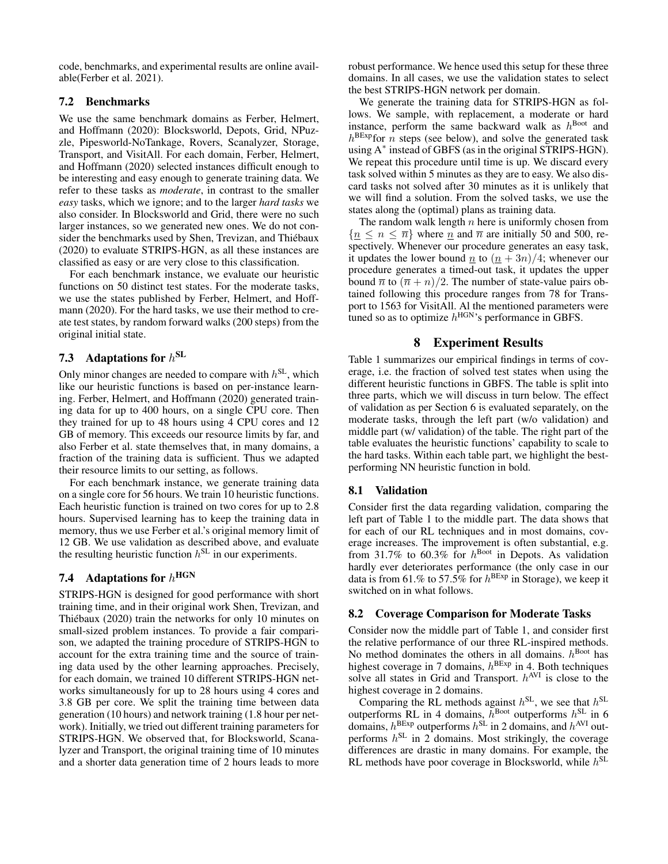code, benchmarks, and experimental results are online available(Ferber et al. 2021).

### 7.2 Benchmarks

We use the same benchmark domains as Ferber, Helmert, and Hoffmann (2020): Blocksworld, Depots, Grid, NPuzzle, Pipesworld-NoTankage, Rovers, Scanalyzer, Storage, Transport, and VisitAll. For each domain, Ferber, Helmert, and Hoffmann (2020) selected instances difficult enough to be interesting and easy enough to generate training data. We refer to these tasks as *moderate*, in contrast to the smaller *easy* tasks, which we ignore; and to the larger *hard tasks* we also consider. In Blocksworld and Grid, there were no such larger instances, so we generated new ones. We do not consider the benchmarks used by Shen, Trevizan, and Thiébaux (2020) to evaluate STRIPS-HGN, as all these instances are classified as easy or are very close to this classification.

For each benchmark instance, we evaluate our heuristic functions on 50 distinct test states. For the moderate tasks, we use the states published by Ferber, Helmert, and Hoffmann (2020). For the hard tasks, we use their method to create test states, by random forward walks (200 steps) from the original initial state.

# 7.3 Adaptations for  $h^{\text{SL}}$

Only minor changes are needed to compare with  $h^{\text{SL}}$ , which like our heuristic functions is based on per-instance learning. Ferber, Helmert, and Hoffmann (2020) generated training data for up to 400 hours, on a single CPU core. Then they trained for up to 48 hours using 4 CPU cores and 12 GB of memory. This exceeds our resource limits by far, and also Ferber et al. state themselves that, in many domains, a fraction of the training data is sufficient. Thus we adapted their resource limits to our setting, as follows.

For each benchmark instance, we generate training data on a single core for 56 hours. We train 10 heuristic functions. Each heuristic function is trained on two cores for up to 2.8 hours. Supervised learning has to keep the training data in memory, thus we use Ferber et al.'s original memory limit of 12 GB. We use validation as described above, and evaluate the resulting heuristic function  $h^{\text{SL}}$  in our experiments.

# 7.4 Adaptations for  $h^{\text{HGN}}$

STRIPS-HGN is designed for good performance with short training time, and in their original work Shen, Trevizan, and Thiébaux (2020) train the networks for only 10 minutes on small-sized problem instances. To provide a fair comparison, we adapted the training procedure of STRIPS-HGN to account for the extra training time and the source of training data used by the other learning approaches. Precisely, for each domain, we trained 10 different STRIPS-HGN networks simultaneously for up to 28 hours using 4 cores and 3.8 GB per core. We split the training time between data generation (10 hours) and network training (1.8 hour per network). Initially, we tried out different training parameters for STRIPS-HGN. We observed that, for Blocksworld, Scanalyzer and Transport, the original training time of 10 minutes and a shorter data generation time of 2 hours leads to more

robust performance. We hence used this setup for these three domains. In all cases, we use the validation states to select the best STRIPS-HGN network per domain.

We generate the training data for STRIPS-HGN as follows. We sample, with replacement, a moderate or hard instance, perform the same backward walk as  $h^{\text{Boot}}$  and  $h^{\text{BExp}}$  for n steps (see below), and solve the generated task using A<sup>∗</sup> instead of GBFS (as in the original STRIPS-HGN). We repeat this procedure until time is up. We discard every task solved within 5 minutes as they are to easy. We also discard tasks not solved after 30 minutes as it is unlikely that we will find a solution. From the solved tasks, we use the states along the (optimal) plans as training data.

The random walk length  $n$  here is uniformly chosen from  ${n \leq n \leq \overline{n}}$  where  $n \geq n$  and  $\overline{n}$  are initially 50 and 500, respectively. Whenever our procedure generates an easy task, it updates the lower bound  $\underline{n}$  to  $(\underline{n} + 3n)/4$ ; whenever our procedure generates a timed-out task, it updates the upper bound  $\overline{n}$  to  $(\overline{n} + n)/2$ . The number of state-value pairs obtained following this procedure ranges from 78 for Transport to 1563 for VisitAll. Al the mentioned parameters were tuned so as to optimize  $h^{\text{HGN}}$ 's performance in GBFS.

### 8 Experiment Results

Table 1 summarizes our empirical findings in terms of coverage, i.e. the fraction of solved test states when using the different heuristic functions in GBFS. The table is split into three parts, which we will discuss in turn below. The effect of validation as per Section 6 is evaluated separately, on the moderate tasks, through the left part (w/o validation) and middle part (w/ validation) of the table. The right part of the table evaluates the heuristic functions' capability to scale to the hard tasks. Within each table part, we highlight the bestperforming NN heuristic function in bold.

#### 8.1 Validation

Consider first the data regarding validation, comparing the left part of Table 1 to the middle part. The data shows that for each of our RL techniques and in most domains, coverage increases. The improvement is often substantial, e.g. from 31.7% to 60.3% for  $h^{\text{Boot}}$  in Depots. As validation hardly ever deteriorates performance (the only case in our data is from 61.% to 57.5% for  $h^{BExp}$  in Storage), we keep it switched on in what follows.

#### 8.2 Coverage Comparison for Moderate Tasks

Consider now the middle part of Table 1, and consider first the relative performance of our three RL-inspired methods. No method dominates the others in all domains.  $h^{\text{Boot}}$  has highest coverage in 7 domains,  $h^{\text{BExp}}$  in 4. Both techniques solve all states in Grid and Transport.  $h^{\text{AVI}}$  is close to the highest coverage in 2 domains.

Comparing the RL methods against  $h^{\text{SL}}$ , we see that  $h^{\text{SL}}$ outperforms RL in 4 domains,  $h^{\text{foot}}$  outperforms  $h^{\text{SL}}$  in 6 domains,  $h^{\text{BExp}}$  outperforms  $h^{\text{SL}}$  in 2 domains, and  $h^{\text{AVI}}$  outperforms  $h^{\text{SL}}$  in 2 domains. Most strikingly, the coverage differences are drastic in many domains. For example, the RL methods have poor coverage in Blocksworld, while  $h^{\text{SL}}$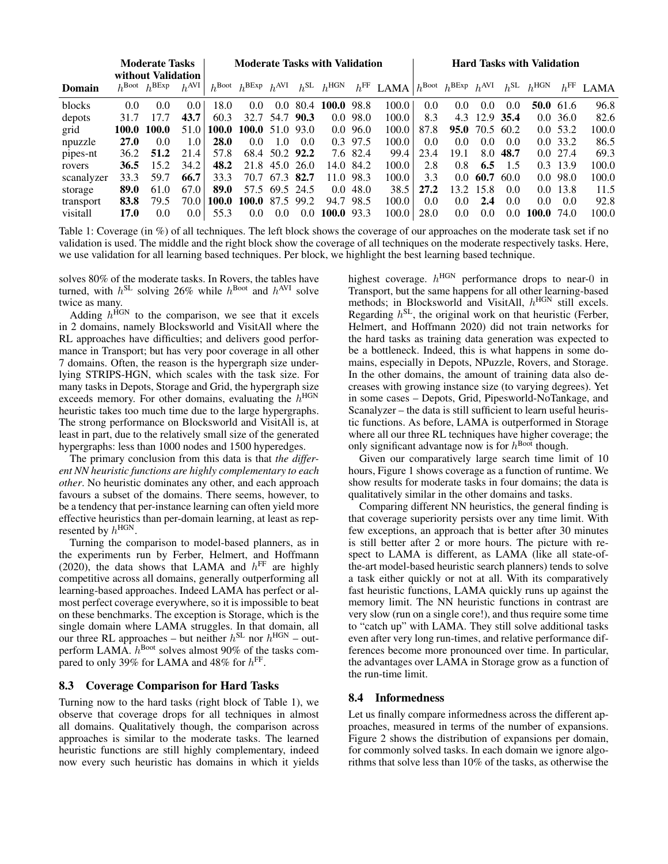|            | <b>Moderate Tasks</b><br>without Validation |                                     |                  | <b>Moderate Tasks with Validation</b> |                                                      |                |           |                                  |             |                                                                           | <b>Hard Tasks with Validation</b> |               |               |                 |                  |              |       |
|------------|---------------------------------------------|-------------------------------------|------------------|---------------------------------------|------------------------------------------------------|----------------|-----------|----------------------------------|-------------|---------------------------------------------------------------------------|-----------------------------------|---------------|---------------|-----------------|------------------|--------------|-------|
| Domain     |                                             | $h^{\text{Boot}}$ $h^{\text{BExp}}$ | $h^{\text{AVI}}$ |                                       | $h^{\text{Boot}}$ $h^{\text{BExp}}$ $h^{\text{AVI}}$ |                |           | $h^{\text{SL}}$ $h^{\text{HGN}}$ |             | $h^{\text{FF}}$ LAMA $h^{\text{Boot}}$ $h^{\text{BExp}}$ $h^{\text{AVI}}$ |                                   |               |               | $h^{\text{SL}}$ | $h^{\text{HGN}}$ | $h^{\rm FF}$ | LAMA  |
| blocks     | 0.0                                         | 0.0                                 | 0.0              | 18.0                                  | 0.0                                                  | 0.0            | 80.4      | 100.0                            | 98.8        | 100.0                                                                     | 0.0                               | 0.0           | 0.0           | 0.0             |                  | 50.0 $61.6$  | 96.8  |
| depots     | 31.7                                        | 17.7                                | 43.7             | 60.3                                  | 32.7                                                 | 54.7 90.3      |           |                                  | $0.0$ 98.0  | 100.0                                                                     | 8.3                               |               | 4.3 12.9 35.4 |                 |                  | 0.0, 36.0    | 82.6  |
| grid       | 100.0                                       | 100.0                               | 51.0             | 100.0                                 | $100.0$ 51.0 93.0                                    |                |           |                                  | $0.0\,96.0$ | 100.0                                                                     | 87.8                              | 95.0          | 70.5 60.2     |                 |                  | 0.053.2      | 100.0 |
| npuzzle    | <b>27.0</b>                                 | 0.0                                 | 1.0              | <b>28.0</b>                           | $0.0^{\circ}$                                        | 10             | (0.0)     |                                  | 0.3 97.5    | 100.0                                                                     | 0.0                               | 0.0           | $0.0^-$       | 0.0             |                  | $0.0\,33.2$  | 86.5  |
| pipes-nt   | 36.2                                        | 51.2                                | 21.4             | 57.8                                  | 68.4                                                 |                | 50.2 92.2 |                                  | 7.6 82.4    | 99.4                                                                      | 23.4                              | 19.1          | 8.0           | 48.7            |                  | $0.0$ 27.4   | 69.3  |
| rovers     | 36.5                                        | 15.2                                | 34.2             | 48.2                                  | 21.8                                                 | 45.0 26.0      |           |                                  | 14.0 84.2   | 100.0                                                                     | 2.8                               | 0.8           | 6.5           | 1.5             |                  | 0.3 13.9     | 100.0 |
| scanalyzer | 33.3                                        | 59.7                                | 66.7             | 33.3                                  |                                                      | 70.7 67.3 82.7 |           |                                  | 11.0 98.3   | 100.0                                                                     | 3.3                               | $0.0^-$       | 60.7          | -60.0           |                  | $0.0$ 98.0   | 100.0 |
| storage    | 89.0                                        | 61.0                                | 67.0             | 89.0                                  |                                                      | 57.5 69.5 24.5 |           | 0.0 <sub>1</sub>                 | 48.0        | 38.5                                                                      | 27.2                              | 13.2          | 15.8          | 0.0             |                  | $0.0$ 13.8   | 11.5  |
| transport  | 83.8                                        | 79.5                                | 70.0             | 100.0                                 | 100.0 87.5 99.2                                      |                |           |                                  | 94.7 98.5   | 100.0                                                                     | 0.0                               | $0.0^{\circ}$ | 2.4           | 0.0             | 0.0              | 0.0          | 92.8  |
| visitall   | 17.0                                        | 0.0                                 | 0.0 <sub>1</sub> | 55.3                                  | $0.0^{\circ}$                                        | $0.0^{\circ}$  | 0.0       | $100.0$ 93.3                     |             | 100.0                                                                     | 28.0                              | 0.0           | 0.0           | 0.0             | 100.0            | 74.0         | 100.0 |

Table 1: Coverage (in %) of all techniques. The left block shows the coverage of our approaches on the moderate task set if no validation is used. The middle and the right block show the coverage of all techniques on the moderate respectively tasks. Here, we use validation for all learning based techniques. Per block, we highlight the best learning based technique.

solves 80% of the moderate tasks. In Rovers, the tables have turned, with  $h^{\text{SL}}$  solving 26% while  $h^{\text{Boot}}$  and  $h^{\text{AVI}}$  solve twice as many.

Adding  $h^{\text{HGN}}$  to the comparison, we see that it excels in 2 domains, namely Blocksworld and VisitAll where the RL approaches have difficulties; and delivers good performance in Transport; but has very poor coverage in all other 7 domains. Often, the reason is the hypergraph size underlying STRIPS-HGN, which scales with the task size. For many tasks in Depots, Storage and Grid, the hypergraph size exceeds memory. For other domains, evaluating the  $h^{\text{HGN}}$ heuristic takes too much time due to the large hypergraphs. The strong performance on Blocksworld and VisitAll is, at least in part, due to the relatively small size of the generated hypergraphs: less than 1000 nodes and 1500 hyperedges.

The primary conclusion from this data is that *the different NN heuristic functions are highly complementary to each other*. No heuristic dominates any other, and each approach favours a subset of the domains. There seems, however, to be a tendency that per-instance learning can often yield more effective heuristics than per-domain learning, at least as represented by  $h^{\text{HGN}}$ .

Turning the comparison to model-based planners, as in the experiments run by Ferber, Helmert, and Hoffmann (2020), the data shows that LAMA and  $h^{\text{FF}}$  are highly competitive across all domains, generally outperforming all learning-based approaches. Indeed LAMA has perfect or almost perfect coverage everywhere, so it is impossible to beat on these benchmarks. The exception is Storage, which is the single domain where LAMA struggles. In that domain, all our three RL approaches – but neither  $h^{\text{SL}}$  nor  $h^{\text{HGN}}$  – outperform LAMA.  $h^{\text{Boot}}$  solves almost 90% of the tasks compared to only 39% for LAMA and 48% for  $h^{\text{FF}}$ .

### 8.3 Coverage Comparison for Hard Tasks

Turning now to the hard tasks (right block of Table 1), we observe that coverage drops for all techniques in almost all domains. Qualitatively though, the comparison across approaches is similar to the moderate tasks. The learned heuristic functions are still highly complementary, indeed now every such heuristic has domains in which it yields

highest coverage.  $h^{\text{HGN}}$  performance drops to near-0 in Transport, but the same happens for all other learning-based methods; in Blocksworld and VisitAll,  $h^{\text{HGN}}$  still excels. Regarding  $h^{\text{SL}}$ , the original work on that heuristic (Ferber, Helmert, and Hoffmann 2020) did not train networks for the hard tasks as training data generation was expected to be a bottleneck. Indeed, this is what happens in some domains, especially in Depots, NPuzzle, Rovers, and Storage. In the other domains, the amount of training data also decreases with growing instance size (to varying degrees). Yet in some cases – Depots, Grid, Pipesworld-NoTankage, and Scanalyzer – the data is still sufficient to learn useful heuristic functions. As before, LAMA is outperformed in Storage where all our three RL techniques have higher coverage; the only significant advantage now is for  $h^{\text{Bool}}$  though.

Given our comparatively large search time limit of 10 hours, Figure 1 shows coverage as a function of runtime. We show results for moderate tasks in four domains; the data is qualitatively similar in the other domains and tasks.

Comparing different NN heuristics, the general finding is that coverage superiority persists over any time limit. With few exceptions, an approach that is better after 30 minutes is still better after 2 or more hours. The picture with respect to LAMA is different, as LAMA (like all state-ofthe-art model-based heuristic search planners) tends to solve a task either quickly or not at all. With its comparatively fast heuristic functions, LAMA quickly runs up against the memory limit. The NN heuristic functions in contrast are very slow (run on a single core!), and thus require some time to "catch up" with LAMA. They still solve additional tasks even after very long run-times, and relative performance differences become more pronounced over time. In particular, the advantages over LAMA in Storage grow as a function of the run-time limit.

#### 8.4 Informedness

Let us finally compare informedness across the different approaches, measured in terms of the number of expansions. Figure 2 shows the distribution of expansions per domain, for commonly solved tasks. In each domain we ignore algorithms that solve less than 10% of the tasks, as otherwise the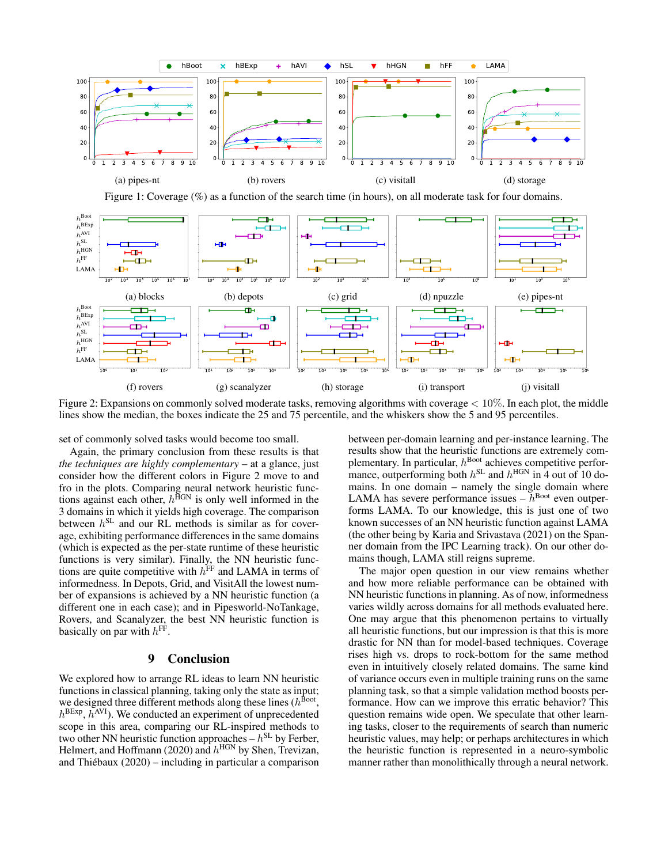



Figure 2: Expansions on commonly solved moderate tasks, removing algorithms with coverage  $< 10\%$ . In each plot, the middle lines show the median, the boxes indicate the 25 and 75 percentile, and the whiskers show the 5 and 95 percentiles.

set of commonly solved tasks would become too small.

Again, the primary conclusion from these results is that *the techniques are highly complementary* – at a glance, just consider how the different colors in Figure 2 move to and fro in the plots. Comparing neural network heuristic functions against each other,  $h^{\text{HGN}}$  is only well informed in the 3 domains in which it yields high coverage. The comparison between  $h^{\text{SL}}$  and our RL methods is similar as for coverage, exhibiting performance differences in the same domains (which is expected as the per-state runtime of these heuristic functions is very similar). Finally, the NN heuristic functions are quite competitive with  $h^{\text{FF}}$  and LAMA in terms of informedness. In Depots, Grid, and VisitAll the lowest number of expansions is achieved by a NN heuristic function (a different one in each case); and in Pipesworld-NoTankage, Rovers, and Scanalyzer, the best NN heuristic function is basically on par with  $h<sup>FF</sup>$ .

### 9 Conclusion

We explored how to arrange RL ideas to learn NN heuristic functions in classical planning, taking only the state as input; we designed three different methods along these lines ( $h^{\text{foot}}$ ,  $h^{\text{BExp}}$ ,  $h^{\text{AVI}}$ ). We conducted an experiment of unprecedented scope in this area, comparing our RL-inspired methods to two other NN heuristic function approaches  $-h<sup>SL</sup>$  by Ferber, Helmert, and Hoffmann (2020) and  $h^{\text{HGN}}$  by Shen, Trevizan, and Thiébaux  $(2020)$  – including in particular a comparison

between per-domain learning and per-instance learning. The results show that the heuristic functions are extremely complementary. In particular,  $h^{\text{Boot}}$  achieves competitive performance, outperforming both  $h^{\text{SL}}$  and  $h^{\text{HGN}}$  in 4 out of 10 domains. In one domain – namely the single domain where LAMA has severe performance issues  $-h^{\text{Boot}}$  even outperforms LAMA. To our knowledge, this is just one of two known successes of an NN heuristic function against LAMA (the other being by Karia and Srivastava (2021) on the Spanner domain from the IPC Learning track). On our other domains though, LAMA still reigns supreme.

The major open question in our view remains whether and how more reliable performance can be obtained with NN heuristic functions in planning. As of now, informedness varies wildly across domains for all methods evaluated here. One may argue that this phenomenon pertains to virtually all heuristic functions, but our impression is that this is more drastic for NN than for model-based techniques. Coverage rises high vs. drops to rock-bottom for the same method even in intuitively closely related domains. The same kind of variance occurs even in multiple training runs on the same planning task, so that a simple validation method boosts performance. How can we improve this erratic behavior? This question remains wide open. We speculate that other learning tasks, closer to the requirements of search than numeric heuristic values, may help; or perhaps architectures in which the heuristic function is represented in a neuro-symbolic manner rather than monolithically through a neural network.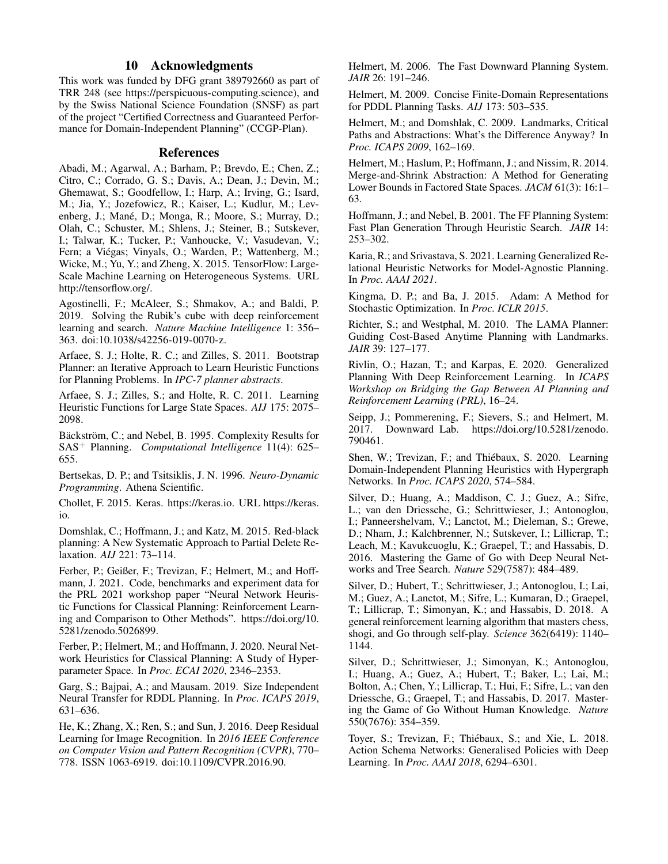### 10 Acknowledgments

This work was funded by DFG grant 389792660 as part of TRR 248 (see https://perspicuous-computing.science), and by the Swiss National Science Foundation (SNSF) as part of the project "Certified Correctness and Guaranteed Performance for Domain-Independent Planning" (CCGP-Plan).

### References

Abadi, M.; Agarwal, A.; Barham, P.; Brevdo, E.; Chen, Z.; Citro, C.; Corrado, G. S.; Davis, A.; Dean, J.; Devin, M.; Ghemawat, S.; Goodfellow, I.; Harp, A.; Irving, G.; Isard, M.; Jia, Y.; Jozefowicz, R.; Kaiser, L.; Kudlur, M.; Levenberg, J.; Mané, D.; Monga, R.; Moore, S.; Murray, D.; Olah, C.; Schuster, M.; Shlens, J.; Steiner, B.; Sutskever, I.; Talwar, K.; Tucker, P.; Vanhoucke, V.; Vasudevan, V.; Fern; a Viégas; Vinyals, O.; Warden, P.; Wattenberg, M.; Wicke, M.; Yu, Y.; and Zheng, X. 2015. TensorFlow: Large-Scale Machine Learning on Heterogeneous Systems. URL http://tensorflow.org/.

Agostinelli, F.; McAleer, S.; Shmakov, A.; and Baldi, P. 2019. Solving the Rubik's cube with deep reinforcement learning and search. *Nature Machine Intelligence* 1: 356– 363. doi:10.1038/s42256-019-0070-z.

Arfaee, S. J.; Holte, R. C.; and Zilles, S. 2011. Bootstrap Planner: an Iterative Approach to Learn Heuristic Functions for Planning Problems. In *IPC-7 planner abstracts*.

Arfaee, S. J.; Zilles, S.; and Holte, R. C. 2011. Learning Heuristic Functions for Large State Spaces. *AIJ* 175: 2075– 2098.

Bäckström, C.; and Nebel, B. 1995. Complexity Results for SAS<sup>+</sup> Planning. *Computational Intelligence* 11(4): 625– 655.

Bertsekas, D. P.; and Tsitsiklis, J. N. 1996. *Neuro-Dynamic Programming*. Athena Scientific.

Chollet, F. 2015. Keras. https://keras.io. URL https://keras. io.

Domshlak, C.; Hoffmann, J.; and Katz, M. 2015. Red-black planning: A New Systematic Approach to Partial Delete Relaxation. *AIJ* 221: 73–114.

Ferber, P.; Geißer, F.; Trevizan, F.; Helmert, M.; and Hoffmann, J. 2021. Code, benchmarks and experiment data for the PRL 2021 workshop paper "Neural Network Heuristic Functions for Classical Planning: Reinforcement Learning and Comparison to Other Methods". https://doi.org/10. 5281/zenodo.5026899.

Ferber, P.; Helmert, M.; and Hoffmann, J. 2020. Neural Network Heuristics for Classical Planning: A Study of Hyperparameter Space. In *Proc. ECAI 2020*, 2346–2353.

Garg, S.; Bajpai, A.; and Mausam. 2019. Size Independent Neural Transfer for RDDL Planning. In *Proc. ICAPS 2019*, 631–636.

He, K.; Zhang, X.; Ren, S.; and Sun, J. 2016. Deep Residual Learning for Image Recognition. In *2016 IEEE Conference on Computer Vision and Pattern Recognition (CVPR)*, 770– 778. ISSN 1063-6919. doi:10.1109/CVPR.2016.90.

Helmert, M. 2006. The Fast Downward Planning System. *JAIR* 26: 191–246.

Helmert, M. 2009. Concise Finite-Domain Representations for PDDL Planning Tasks. *AIJ* 173: 503–535.

Helmert, M.; and Domshlak, C. 2009. Landmarks, Critical Paths and Abstractions: What's the Difference Anyway? In *Proc. ICAPS 2009*, 162–169.

Helmert, M.; Haslum, P.; Hoffmann, J.; and Nissim, R. 2014. Merge-and-Shrink Abstraction: A Method for Generating Lower Bounds in Factored State Spaces. *JACM* 61(3): 16:1– 63.

Hoffmann, J.; and Nebel, B. 2001. The FF Planning System: Fast Plan Generation Through Heuristic Search. *JAIR* 14: 253–302.

Karia, R.; and Srivastava, S. 2021. Learning Generalized Relational Heuristic Networks for Model-Agnostic Planning. In *Proc. AAAI 2021*.

Kingma, D. P.; and Ba, J. 2015. Adam: A Method for Stochastic Optimization. In *Proc. ICLR 2015*.

Richter, S.; and Westphal, M. 2010. The LAMA Planner: Guiding Cost-Based Anytime Planning with Landmarks. *JAIR* 39: 127–177.

Rivlin, O.; Hazan, T.; and Karpas, E. 2020. Generalized Planning With Deep Reinforcement Learning. In *ICAPS Workshop on Bridging the Gap Between AI Planning and Reinforcement Learning (PRL)*, 16–24.

Seipp, J.; Pommerening, F.; Sievers, S.; and Helmert, M. 2017. Downward Lab. https://doi.org/10.5281/zenodo. 790461.

Shen, W.; Trevizan, F.; and Thiébaux, S. 2020. Learning Domain-Independent Planning Heuristics with Hypergraph Networks. In *Proc. ICAPS 2020*, 574–584.

Silver, D.; Huang, A.; Maddison, C. J.; Guez, A.; Sifre, L.; van den Driessche, G.; Schrittwieser, J.; Antonoglou, I.; Panneershelvam, V.; Lanctot, M.; Dieleman, S.; Grewe, D.; Nham, J.; Kalchbrenner, N.; Sutskever, I.; Lillicrap, T.; Leach, M.; Kavukcuoglu, K.; Graepel, T.; and Hassabis, D. 2016. Mastering the Game of Go with Deep Neural Networks and Tree Search. *Nature* 529(7587): 484–489.

Silver, D.; Hubert, T.; Schrittwieser, J.; Antonoglou, I.; Lai, M.; Guez, A.; Lanctot, M.; Sifre, L.; Kumaran, D.; Graepel, T.; Lillicrap, T.; Simonyan, K.; and Hassabis, D. 2018. A general reinforcement learning algorithm that masters chess, shogi, and Go through self-play. *Science* 362(6419): 1140– 1144.

Silver, D.; Schrittwieser, J.; Simonyan, K.; Antonoglou, I.; Huang, A.; Guez, A.; Hubert, T.; Baker, L.; Lai, M.; Bolton, A.; Chen, Y.; Lillicrap, T.; Hui, F.; Sifre, L.; van den Driessche, G.; Graepel, T.; and Hassabis, D. 2017. Mastering the Game of Go Without Human Knowledge. *Nature* 550(7676): 354–359.

Toyer, S.; Trevizan, F.; Thiébaux, S.; and Xie, L. 2018. Action Schema Networks: Generalised Policies with Deep Learning. In *Proc. AAAI 2018*, 6294–6301.